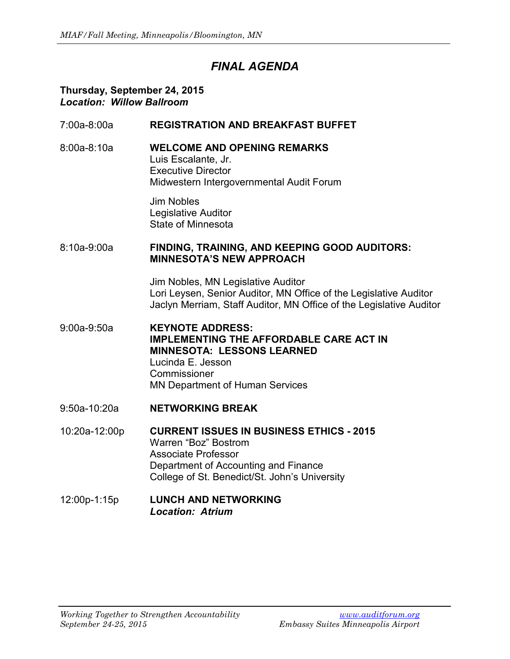# *FINAL AGENDA*

#### **Thursday, September 24, 2015** *Location: Willow Ballroom*

- 7:00a-8:00a **REGISTRATION AND BREAKFAST BUFFET**
- 8:00a-8:10a **WELCOME AND OPENING REMARKS** Luis Escalante, Jr. Executive Director Midwestern Intergovernmental Audit Forum

Jim Nobles Legislative Auditor State of Minnesota

#### 8:10a-9:00a **FINDING, TRAINING, AND KEEPING GOOD AUDITORS: MINNESOTA'S NEW APPROACH**

Jim Nobles, MN Legislative Auditor Lori Leysen, Senior Auditor, MN Office of the Legislative Auditor Jaclyn Merriam, Staff Auditor, MN Office of the Legislative Auditor

- 9:00a-9:50a **KEYNOTE ADDRESS: IMPLEMENTING THE AFFORDABLE CARE ACT IN MINNESOTA: LESSONS LEARNED** Lucinda E. Jesson **Commissioner** MN Department of Human Services
- 9:50a-10:20a **NETWORKING BREAK**
- 10:20a-12:00p **CURRENT ISSUES IN BUSINESS ETHICS - 2015** Warren "Boz" Bostrom Associate Professor Department of Accounting and Finance College of St. Benedict/St. John's University

### 12:00p-1:15p **LUNCH AND NETWORKING** *Location: Atrium*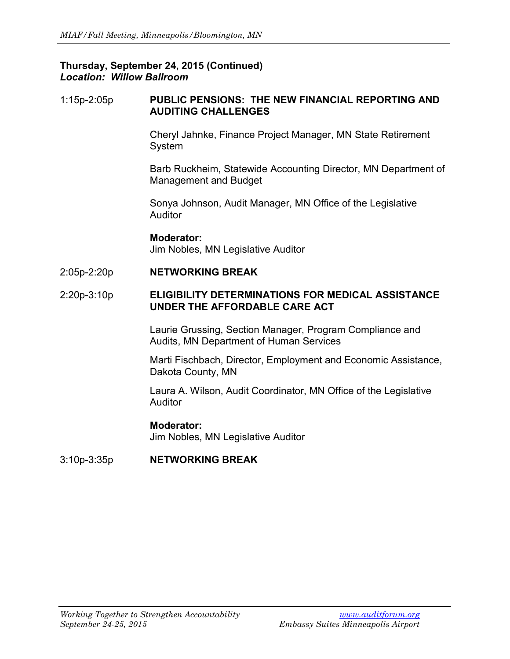### **Thursday, September 24, 2015 (Continued)** *Location: Willow Ballroom*

#### 1:15p-2:05p **PUBLIC PENSIONS: THE NEW FINANCIAL REPORTING AND AUDITING CHALLENGES**

Cheryl Jahnke, Finance Project Manager, MN State Retirement System

Barb Ruckheim, Statewide Accounting Director, MN Department of Management and Budget

Sonya Johnson, Audit Manager, MN Office of the Legislative Auditor

**Moderator:** Jim Nobles, MN Legislative Auditor

2:05p-2:20p **NETWORKING BREAK**

#### 2:20p-3:10p **ELIGIBILITY DETERMINATIONS FOR MEDICAL ASSISTANCE UNDER THE AFFORDABLE CARE ACT**

Laurie Grussing, Section Manager, Program Compliance and Audits, MN Department of Human Services

Marti Fischbach, Director, Employment and Economic Assistance, Dakota County, MN

Laura A. Wilson, Audit Coordinator, MN Office of the Legislative Auditor

## **Moderator:**

Jim Nobles, MN Legislative Auditor

3:10p-3:35p **NETWORKING BREAK**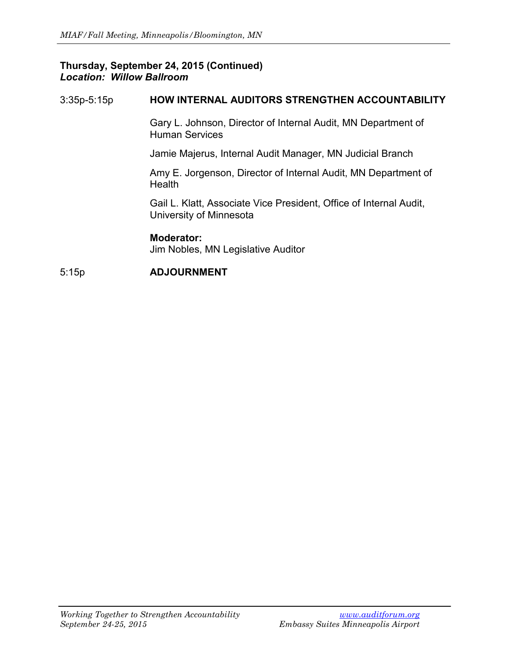### **Thursday, September 24, 2015 (Continued)** *Location: Willow Ballroom*

## 3:35p-5:15p **HOW INTERNAL AUDITORS STRENGTHEN ACCOUNTABILITY**

Gary L. Johnson, Director of Internal Audit, MN Department of Human Services

Jamie Majerus, Internal Audit Manager, MN Judicial Branch

Amy E. Jorgenson, Director of Internal Audit, MN Department of **Health** 

Gail L. Klatt, Associate Vice President, Office of Internal Audit, University of Minnesota

**Moderator:** Jim Nobles, MN Legislative Auditor

## 5:15p **ADJOURNMENT**